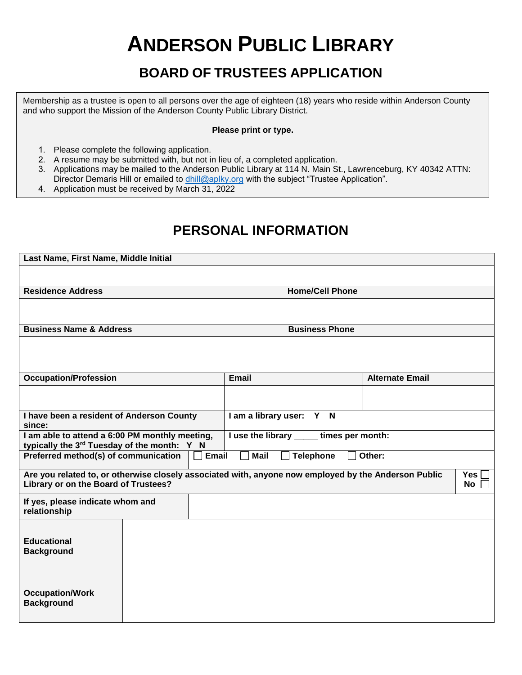# **ANDERSON PUBLIC LIBRARY**

## **BOARD OF TRUSTEES APPLICATION**

Membership as a trustee is open to all persons over the age of eighteen (18) years who reside within Anderson County and who support the Mission of the Anderson County Public Library District.

#### **Please print or type.**

- 1. Please complete the following application.
- 2. A resume may be submitted with, but not in lieu of, a completed application.
- 3. Applications may be mailed to the Anderson Public Library at 114 N. Main St., Lawrenceburg, KY 40342 ATTN: Director Demaris Hill or emailed to [dhill@aplky.org](mailto:adickens@andersonpubliclibrary.org) with the subject "Trustee Application".
- 4. Application must be received by March 31, 2022

### **PERSONAL INFORMATION**

| Last Name, First Name, Middle Initial                                                                                                                            |  |                                          |                        |  |  |  |  |
|------------------------------------------------------------------------------------------------------------------------------------------------------------------|--|------------------------------------------|------------------------|--|--|--|--|
|                                                                                                                                                                  |  |                                          |                        |  |  |  |  |
| <b>Residence Address</b>                                                                                                                                         |  | <b>Home/Cell Phone</b>                   |                        |  |  |  |  |
|                                                                                                                                                                  |  |                                          |                        |  |  |  |  |
| <b>Business Name &amp; Address</b>                                                                                                                               |  | <b>Business Phone</b>                    |                        |  |  |  |  |
|                                                                                                                                                                  |  |                                          |                        |  |  |  |  |
| <b>Occupation/Profession</b>                                                                                                                                     |  | Email                                    | <b>Alternate Email</b> |  |  |  |  |
|                                                                                                                                                                  |  |                                          |                        |  |  |  |  |
| I have been a resident of Anderson County<br>since:                                                                                                              |  | I am a library user: Y N                 |                        |  |  |  |  |
| I am able to attend a 6:00 PM monthly meeting,<br>typically the 3rd Tuesday of the month: Y N                                                                    |  | I use the library _____ times per month: |                        |  |  |  |  |
| Preferred method(s) of communication<br>Email<br><b>Mail</b><br>Other:<br><b>Telephone</b>                                                                       |  |                                          |                        |  |  |  |  |
| Are you related to, or otherwise closely associated with, anyone now employed by the Anderson Public<br><b>Yes</b><br>Library or on the Board of Trustees?<br>No |  |                                          |                        |  |  |  |  |
| If yes, please indicate whom and<br>relationship                                                                                                                 |  |                                          |                        |  |  |  |  |
| <b>Educational</b><br><b>Background</b>                                                                                                                          |  |                                          |                        |  |  |  |  |
| <b>Occupation/Work</b><br><b>Background</b>                                                                                                                      |  |                                          |                        |  |  |  |  |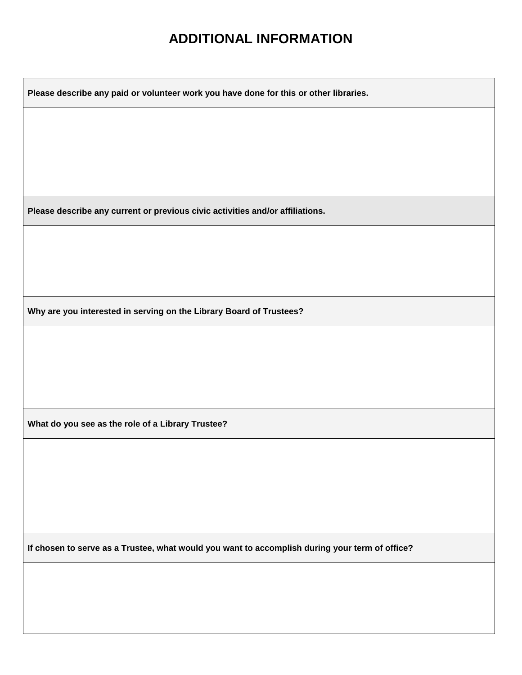### **ADDITIONAL INFORMATION**

**Please describe any paid or volunteer work you have done for this or other libraries.**

**Please describe any current or previous civic activities and/or affiliations.**

**Why are you interested in serving on the Library Board of Trustees?**

**What do you see as the role of a Library Trustee?**

**If chosen to serve as a Trustee, what would you want to accomplish during your term of office?**